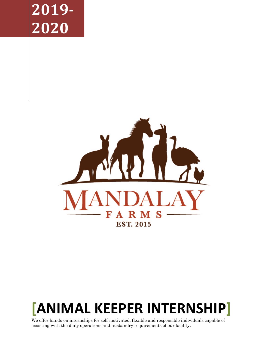# **2019- 2020**



# **[ANIMAL KEEPER INTERNSHIP]**

We offer hands-on internships for self-motivated, flexible and responsible individuals capable of assisting with the daily operations and husbandry requirements of our facility.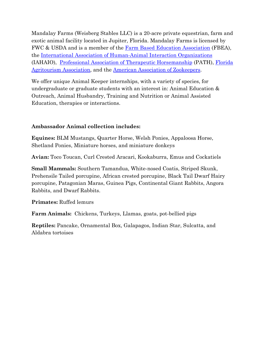Mandalay Farms (Weisberg Stables LLC) is a 20-acre private equestrian, farm and exotic animal facility located in Jupiter, Florida. Mandalay Farms is licensed by FWC & USDA and is a member of the [Farm Based Education Association](http://www.farmbasededucation.org/) (FBEA), the [International Association of Human-Animal Interaction Organizations](http://iahaio.org/) (IAHAIO), [Professional Association of Therapeutic Horsemanship](https://www.pathintl.org/) (PATH), [Florida](https://visitfloridafarms.com/)  [Agritourism Association,](https://visitfloridafarms.com/) and the [American Association of Zookeepers.](https://aazk.org/)

We offer unique Animal Keeper internships, with a variety of species, for undergraduate or graduate students with an interest in: Animal Education & Outreach, Animal Husbandry, Training and Nutrition or Animal Assisted Education, therapies or interactions.

#### **Ambassador Animal collection includes:**

**Equines:** BLM Mustangs, Quarter Horse, Welsh Ponies, Appaloosa Horse, Shetland Ponies, Miniature horses, and miniature donkeys

**Avian:** Toco Toucan, Curl Crested Aracari, Kookaburra, Emus and Cockatiels

**Small Mammals:** Southern Tamandua, White-nosed Coatis, Striped Skunk, Prehensile Tailed porcupine, African crested porcupine, Black Tail Dwarf Hairy porcupine, Patagonian Maras, Guinea Pigs, Continental Giant Rabbits, Angora Rabbits, and Dwarf Rabbits.

**Primates:** Ruffed lemurs

**Farm Animals:** Chickens, Turkeys, Llamas, goats, pot-bellied pigs

**Reptiles:** Pancake, Ornamental Box, Galapagos, Indian Star, Sulcatta, and Aldabra tortoises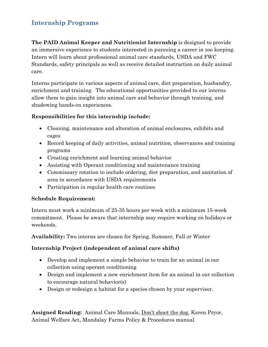## **Internship Programs**

**The PAID Animal Keeper and Nutritionist Internship** is designed to provide an immersive experience to students interested in pursuing a career in zoo keeping. Intern will learn about professional animal care standards, USDA and FWC Standards, safety principals as well as receive detailed instruction on daily animal care.

Interns participate in various aspects of animal care, diet preparation, husbandry, enrichment and training. The educational opportunities provided to our interns allow them to gain insight into animal care and behavior through training, and shadowing hands-on experiences.

#### **Responsibilities for this internship include:**

- Cleaning, maintenance and alteration of animal enclosures, exhibits and cages
- Record keeping of daily activities, animal nutrition, observances and training programs
- Creating enrichment and learning animal behavior
- Assisting with Operant conditioning and maintenance training
- Commissary rotation to include ordering, diet preparation, and sanitation of area in accordance with USDA requirements
- Participation in regular health care routines

#### **Schedule Requirement:**

Intern must work a minimum of 25-35 hours per week with a minimum 15-week commitment. Please be aware that internship may require working on holidays or weekends.

**Availability:** Two interns are chosen for Spring, Summer, Fall or Winter

#### **Internship Project (independent of animal care shifts)**

- Develop and implement a simple behavior to train for an animal in our collection using operant conditioning
- Design and implement a new enrichment item for an animal in our collection to encourage natural behavior(s)
- Design or redesign a habitat for a species chosen by your supervisor.

**Assigned Reading:** Animal Care Manuals, Don't shoot the dog, Karen Pryor, Animal Welfare Act, Mandalay Farms Policy & Procedures manual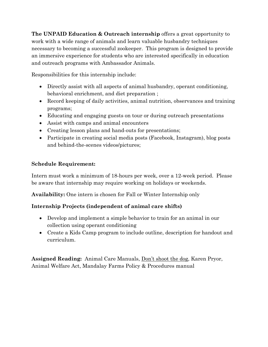**The UNPAID Education & Outreach internship** offers a great opportunity to work with a wide range of animals and learn valuable husbandry techniques necessary to becoming a successful zookeeper. This program is designed to provide an immersive experience for students who are interested specifically in education and outreach programs with Ambassador Animals.

Responsibilities for this internship include:

- Directly assist with all aspects of animal husbandry, operant conditioning, behavioral enrichment, and diet preparation ;
- Record keeping of daily activities, animal nutrition, observances and training programs;
- Educating and engaging guests on tour or during outreach presentations
- Assist with camps and animal encounters
- Creating lesson plans and hand-outs for presentations;
- Participate in creating social media posts (Facebook, Instagram), blog posts and behind-the-scenes videos/pictures;

#### **Schedule Requirement:**

Intern must work a minimum of 18-hours per week, over a 12-week period. Please be aware that internship may require working on holidays or weekends.

**Availability:** One intern is chosen for Fall or Winter Internship only

### **Internship Projects (independent of animal care shifts)**

- Develop and implement a simple behavior to train for an animal in our collection using operant conditioning
- Create a Kids Camp program to include outline, description for handout and curriculum.

**Assigned Reading:** Animal Care Manuals, Don't shoot the dog, Karen Pryor, Animal Welfare Act, Mandalay Farms Policy & Procedures manual